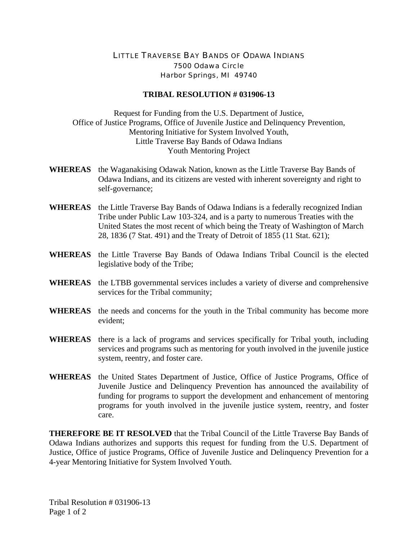## LITTLE TRAVERSE BAY BANDS OF ODAWA INDIANS 7500 Odawa Circle Harbor Springs, MI 49740

## **TRIBAL RESOLUTION # 031906-13**

Request for Funding from the U.S. Department of Justice, Office of Justice Programs, Office of Juvenile Justice and Delinquency Prevention, Mentoring Initiative for System Involved Youth, Little Traverse Bay Bands of Odawa Indians Youth Mentoring Project

- **WHEREAS** the Waganakising Odawak Nation, known as the Little Traverse Bay Bands of Odawa Indians, and its citizens are vested with inherent sovereignty and right to self-governance;
- **WHEREAS** the Little Traverse Bay Bands of Odawa Indians is a federally recognized Indian Tribe under Public Law 103-324, and is a party to numerous Treaties with the United States the most recent of which being the Treaty of Washington of March 28, 1836 (7 Stat. 491) and the Treaty of Detroit of 1855 (11 Stat. 621);
- **WHEREAS** the Little Traverse Bay Bands of Odawa Indians Tribal Council is the elected legislative body of the Tribe;
- **WHEREAS** the LTBB governmental services includes a variety of diverse and comprehensive services for the Tribal community;
- **WHEREAS** the needs and concerns for the youth in the Tribal community has become more evident;
- **WHEREAS** there is a lack of programs and services specifically for Tribal youth, including services and programs such as mentoring for youth involved in the juvenile justice system, reentry, and foster care.
- **WHEREAS** the United States Department of Justice, Office of Justice Programs, Office of Juvenile Justice and Delinquency Prevention has announced the availability of funding for programs to support the development and enhancement of mentoring programs for youth involved in the juvenile justice system, reentry, and foster care.

**THEREFORE BE IT RESOLVED** that the Tribal Council of the Little Traverse Bay Bands of Odawa Indians authorizes and supports this request for funding from the U.S. Department of Justice, Office of justice Programs, Office of Juvenile Justice and Delinquency Prevention for a 4-year Mentoring Initiative for System Involved Youth.